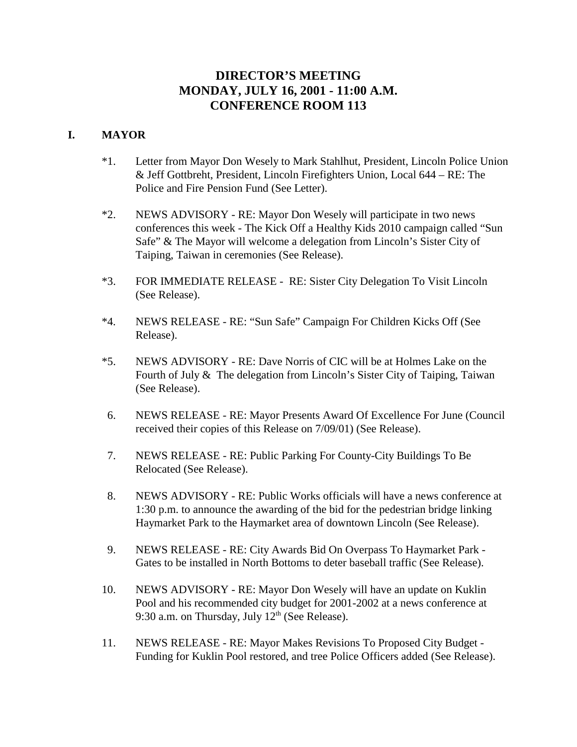# **DIRECTOR'S MEETING MONDAY, JULY 16, 2001 - 11:00 A.M. CONFERENCE ROOM 113**

## **I. MAYOR**

- \*1. Letter from Mayor Don Wesely to Mark Stahlhut, President, Lincoln Police Union & Jeff Gottbreht, President, Lincoln Firefighters Union, Local 644 – RE: The Police and Fire Pension Fund (See Letter).
- \*2. NEWS ADVISORY RE: Mayor Don Wesely will participate in two news conferences this week - The Kick Off a Healthy Kids 2010 campaign called "Sun Safe" & The Mayor will welcome a delegation from Lincoln's Sister City of Taiping, Taiwan in ceremonies (See Release).
- \*3. FOR IMMEDIATE RELEASE RE: Sister City Delegation To Visit Lincoln (See Release).
- \*4. NEWS RELEASE RE: "Sun Safe" Campaign For Children Kicks Off (See Release).
- \*5. NEWS ADVISORY RE: Dave Norris of CIC will be at Holmes Lake on the Fourth of July & The delegation from Lincoln's Sister City of Taiping, Taiwan (See Release).
- 6. NEWS RELEASE RE: Mayor Presents Award Of Excellence For June (Council received their copies of this Release on 7/09/01) (See Release).
- 7. NEWS RELEASE RE: Public Parking For County-City Buildings To Be Relocated (See Release).
- 8. NEWS ADVISORY RE: Public Works officials will have a news conference at 1:30 p.m. to announce the awarding of the bid for the pedestrian bridge linking Haymarket Park to the Haymarket area of downtown Lincoln (See Release).
- 9. NEWS RELEASE RE: City Awards Bid On Overpass To Haymarket Park Gates to be installed in North Bottoms to deter baseball traffic (See Release).
- 10. NEWS ADVISORY RE: Mayor Don Wesely will have an update on Kuklin Pool and his recommended city budget for 2001-2002 at a news conference at 9:30 a.m. on Thursday, July  $12<sup>th</sup>$  (See Release).
- 11. NEWS RELEASE RE: Mayor Makes Revisions To Proposed City Budget Funding for Kuklin Pool restored, and tree Police Officers added (See Release).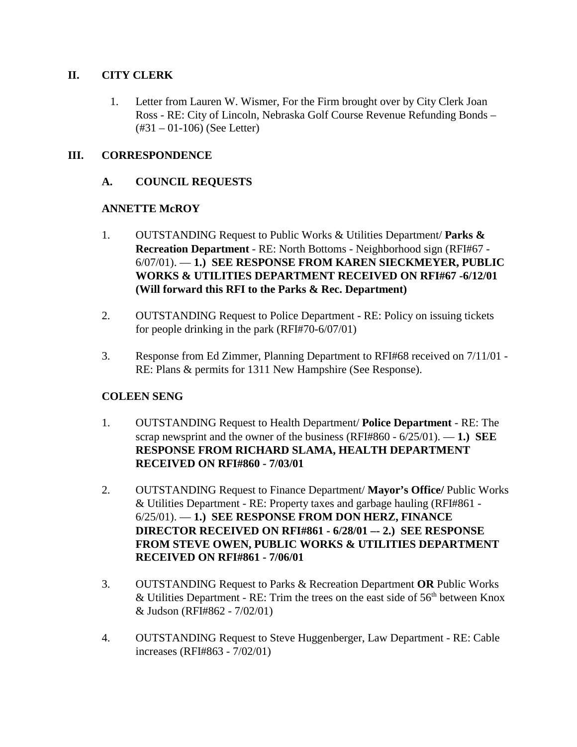## **II. CITY CLERK**

 1. Letter from Lauren W. Wismer, For the Firm brought over by City Clerk Joan Ross - RE: City of Lincoln, Nebraska Golf Course Revenue Refunding Bonds – (#31 – 01-106) (See Letter)

# **III. CORRESPONDENCE**

# **A. COUNCIL REQUESTS**

# **ANNETTE McROY**

- 1. OUTSTANDING Request to Public Works & Utilities Department/ **Parks & Recreation Department** - RE: North Bottoms - Neighborhood sign (RFI#67 - 6/07/01). — **1.) SEE RESPONSE FROM KAREN SIECKMEYER, PUBLIC WORKS & UTILITIES DEPARTMENT RECEIVED ON RFI#67 -6/12/01 (Will forward this RFI to the Parks & Rec. Department)**
- 2. OUTSTANDING Request to Police Department RE: Policy on issuing tickets for people drinking in the park (RFI#70-6/07/01)
- 3. Response from Ed Zimmer, Planning Department to RFI#68 received on 7/11/01 RE: Plans & permits for 1311 New Hampshire (See Response).

## **COLEEN SENG**

- 1. OUTSTANDING Request to Health Department/ **Police Department** RE: The scrap newsprint and the owner of the business (RFI#860 - 6/25/01). — **1.) SEE RESPONSE FROM RICHARD SLAMA, HEALTH DEPARTMENT RECEIVED ON RFI#860 - 7/03/01**
- 2. OUTSTANDING Request to Finance Department/ **Mayor's Office/** Public Works & Utilities Department - RE: Property taxes and garbage hauling (RFI#861 - 6/25/01). — **1.) SEE RESPONSE FROM DON HERZ, FINANCE DIRECTOR RECEIVED ON RFI#861 - 6/28/01 –- 2.) SEE RESPONSE FROM STEVE OWEN, PUBLIC WORKS & UTILITIES DEPARTMENT RECEIVED ON RFI#861 - 7/06/01**
- 3. OUTSTANDING Request to Parks & Recreation Department **OR** Public Works & Utilities Department - RE: Trim the trees on the east side of  $56<sup>th</sup>$  between Knox & Judson (RFI#862 - 7/02/01)
- 4. OUTSTANDING Request to Steve Huggenberger, Law Department RE: Cable increases (RFI#863 - 7/02/01)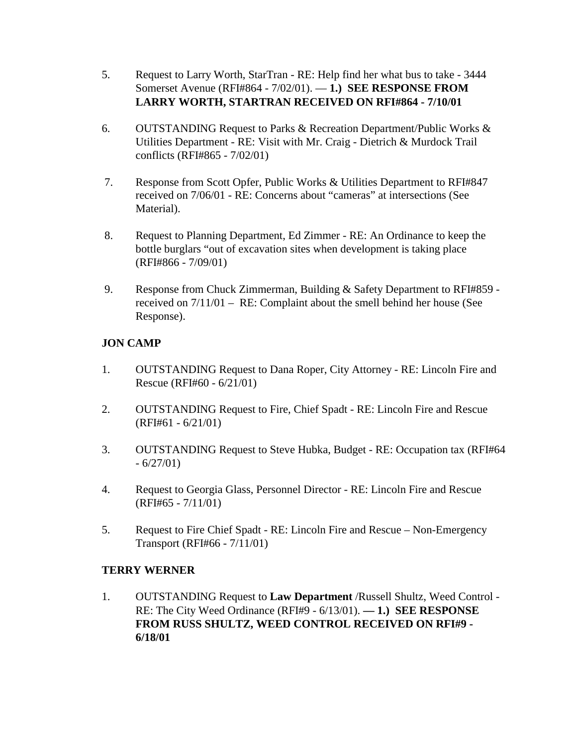- 5. Request to Larry Worth, StarTran RE: Help find her what bus to take 3444 Somerset Avenue (RFI#864 - 7/02/01). — **1.) SEE RESPONSE FROM LARRY WORTH, STARTRAN RECEIVED ON RFI#864 - 7/10/01**
- 6. OUTSTANDING Request to Parks & Recreation Department/Public Works & Utilities Department - RE: Visit with Mr. Craig - Dietrich & Murdock Trail conflicts (RFI#865 - 7/02/01)
- 7. Response from Scott Opfer, Public Works & Utilities Department to RFI#847 received on 7/06/01 - RE: Concerns about "cameras" at intersections (See Material).
- 8. Request to Planning Department, Ed Zimmer RE: An Ordinance to keep the bottle burglars "out of excavation sites when development is taking place (RFI#866 - 7/09/01)
- 9. Response from Chuck Zimmerman, Building & Safety Department to RFI#859 received on 7/11/01 – RE: Complaint about the smell behind her house (See Response).

# **JON CAMP**

- 1. OUTSTANDING Request to Dana Roper, City Attorney RE: Lincoln Fire and Rescue (RFI#60 - 6/21/01)
- 2. OUTSTANDING Request to Fire, Chief Spadt RE: Lincoln Fire and Rescue (RFI#61 - 6/21/01)
- 3. OUTSTANDING Request to Steve Hubka, Budget RE: Occupation tax (RFI#64  $-6/27/01$
- 4. Request to Georgia Glass, Personnel Director RE: Lincoln Fire and Rescue (RFI#65 - 7/11/01)
- 5. Request to Fire Chief Spadt RE: Lincoln Fire and Rescue Non-Emergency Transport (RFI#66 - 7/11/01)

# **TERRY WERNER**

1. OUTSTANDING Request to **Law Department** /Russell Shultz, Weed Control - RE: The City Weed Ordinance (RFI#9 - 6/13/01). **— 1.) SEE RESPONSE FROM RUSS SHULTZ, WEED CONTROL RECEIVED ON RFI#9 - 6/18/01**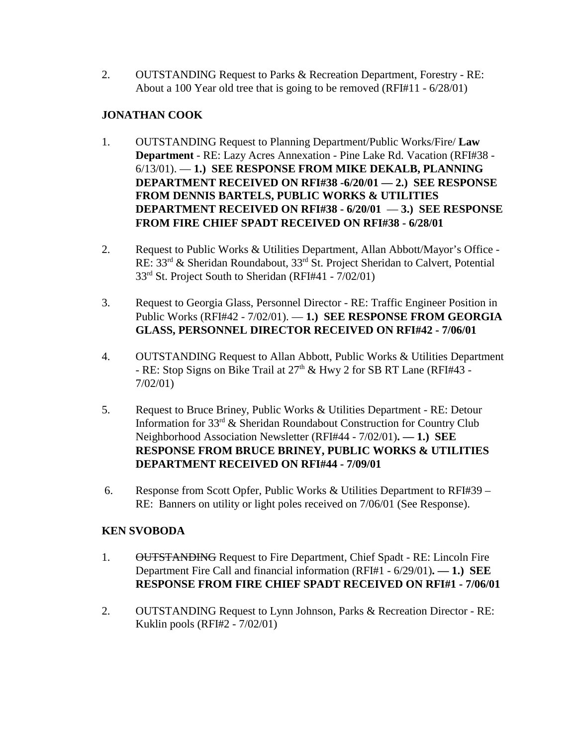2. OUTSTANDING Request to Parks & Recreation Department, Forestry - RE: About a 100 Year old tree that is going to be removed (RFI#11 - 6/28/01)

## **JONATHAN COOK**

- 1. OUTSTANDING Request to Planning Department/Public Works/Fire/ **Law Department** - RE: Lazy Acres Annexation - Pine Lake Rd. Vacation (RFI#38 - 6/13/01). — **1.) SEE RESPONSE FROM MIKE DEKALB, PLANNING DEPARTMENT RECEIVED ON RFI#38 -6/20/01 — 2.) SEE RESPONSE FROM DENNIS BARTELS, PUBLIC WORKS & UTILITIES DEPARTMENT RECEIVED ON RFI#38 - 6/20/01** — **3.) SEE RESPONSE FROM FIRE CHIEF SPADT RECEIVED ON RFI#38 - 6/28/01**
- 2. Request to Public Works & Utilities Department, Allan Abbott/Mayor's Office RE: 33rd & Sheridan Roundabout, 33rd St. Project Sheridan to Calvert, Potential 33rd St. Project South to Sheridan (RFI#41 - 7/02/01)
- 3. Request to Georgia Glass, Personnel Director RE: Traffic Engineer Position in Public Works (RFI#42 - 7/02/01). — **1.) SEE RESPONSE FROM GEORGIA GLASS, PERSONNEL DIRECTOR RECEIVED ON RFI#42 - 7/06/01**
- 4. OUTSTANDING Request to Allan Abbott, Public Works & Utilities Department - RE: Stop Signs on Bike Trail at 27<sup>th</sup> & Hwy 2 for SB RT Lane (RFI#43 -7/02/01)
- 5. Request to Bruce Briney, Public Works & Utilities Department RE: Detour Information for 33rd & Sheridan Roundabout Construction for Country Club Neighborhood Association Newsletter (RFI#44 - 7/02/01)**. — 1.) SEE RESPONSE FROM BRUCE BRINEY, PUBLIC WORKS & UTILITIES DEPARTMENT RECEIVED ON RFI#44 - 7/09/01**
- 6. Response from Scott Opfer, Public Works & Utilities Department to RFI#39 RE: Banners on utility or light poles received on 7/06/01 (See Response).

## **KEN SVOBODA**

- 1. OUTSTANDING Request to Fire Department, Chief Spadt RE: Lincoln Fire Department Fire Call and financial information (RFI#1 - 6/29/01)**. — 1.) SEE RESPONSE FROM FIRE CHIEF SPADT RECEIVED ON RFI#1 - 7/06/01**
- 2. OUTSTANDING Request to Lynn Johnson, Parks & Recreation Director RE: Kuklin pools (RFI#2 - 7/02/01)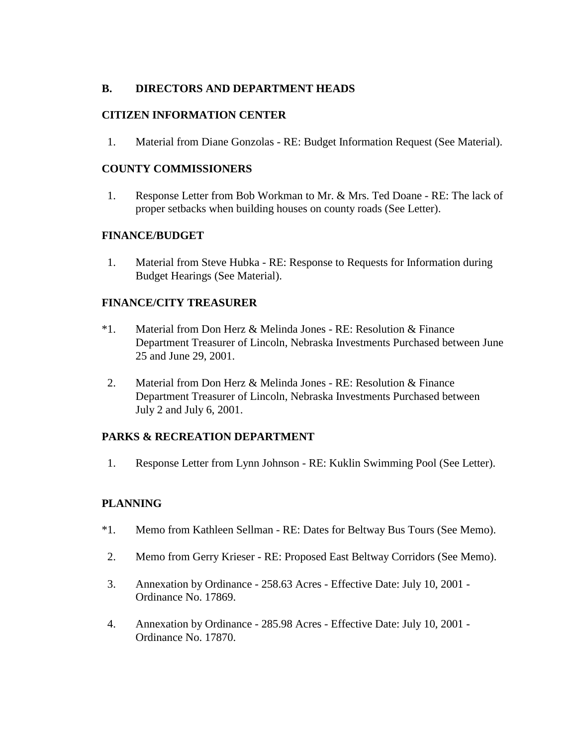# **B. DIRECTORS AND DEPARTMENT HEADS**

## **CITIZEN INFORMATION CENTER**

1. Material from Diane Gonzolas - RE: Budget Information Request (See Material).

## **COUNTY COMMISSIONERS**

1. Response Letter from Bob Workman to Mr. & Mrs. Ted Doane - RE: The lack of proper setbacks when building houses on county roads (See Letter).

#### **FINANCE/BUDGET**

1. Material from Steve Hubka - RE: Response to Requests for Information during Budget Hearings (See Material).

#### **FINANCE/CITY TREASURER**

- \*1. Material from Don Herz & Melinda Jones RE: Resolution & Finance Department Treasurer of Lincoln, Nebraska Investments Purchased between June 25 and June 29, 2001.
- 2. Material from Don Herz & Melinda Jones RE: Resolution & Finance Department Treasurer of Lincoln, Nebraska Investments Purchased between July 2 and July 6, 2001.

## **PARKS & RECREATION DEPARTMENT**

1. Response Letter from Lynn Johnson - RE: Kuklin Swimming Pool (See Letter).

## **PLANNING**

- \*1. Memo from Kathleen Sellman RE: Dates for Beltway Bus Tours (See Memo).
- 2. Memo from Gerry Krieser RE: Proposed East Beltway Corridors (See Memo).
- 3. Annexation by Ordinance 258.63 Acres Effective Date: July 10, 2001 Ordinance No. 17869.
- 4. Annexation by Ordinance 285.98 Acres Effective Date: July 10, 2001 Ordinance No. 17870.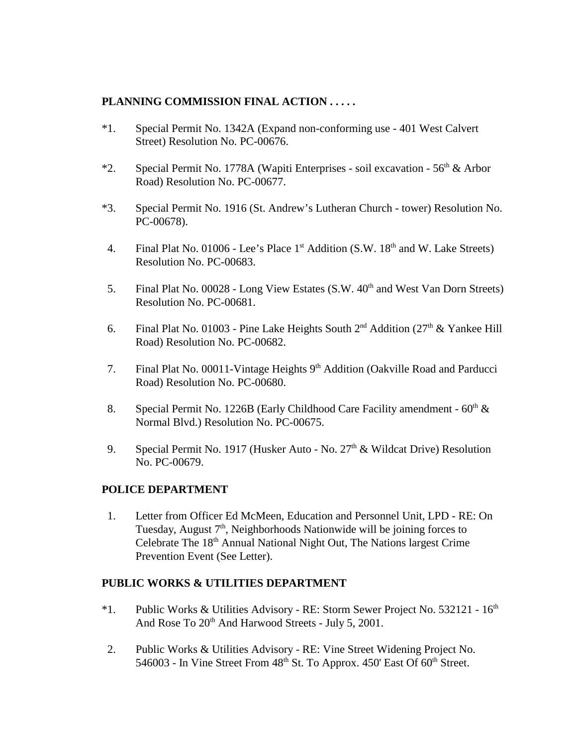## **PLANNING COMMISSION FINAL ACTION . . . . .**

- \*1. Special Permit No. 1342A (Expand non-conforming use 401 West Calvert Street) Resolution No. PC-00676.
- \*2. Special Permit No. 1778A (Wapiti Enterprises soil excavation  $56<sup>th</sup>$  & Arbor Road) Resolution No. PC-00677.
- \*3. Special Permit No. 1916 (St. Andrew's Lutheran Church tower) Resolution No. PC-00678).
- 4. Final Plat No. 01006 Lee's Place 1<sup>st</sup> Addition (S.W. 18<sup>th</sup> and W. Lake Streets) Resolution No. PC-00683.
- 5. Final Plat No. 00028 Long View Estates (S.W. 40<sup>th</sup> and West Van Dorn Streets) Resolution No. PC-00681.
- 6. Final Plat No. 01003 Pine Lake Heights South  $2<sup>nd</sup>$  Addition ( $27<sup>th</sup>$  & Yankee Hill Road) Resolution No. PC-00682.
- 7. Final Plat No. 00011-Vintage Heights 9<sup>th</sup> Addition (Oakville Road and Parducci Road) Resolution No. PC-00680.
- 8. Special Permit No. 1226B (Early Childhood Care Facility amendment  $60<sup>th</sup>$  & Normal Blvd.) Resolution No. PC-00675.
- 9. Special Permit No. 1917 (Husker Auto No.  $27<sup>th</sup>$  & Wildcat Drive) Resolution No. PC-00679.

#### **POLICE DEPARTMENT**

1. Letter from Officer Ed McMeen, Education and Personnel Unit, LPD - RE: On Tuesday, August  $7<sup>th</sup>$ , Neighborhoods Nationwide will be joining forces to Celebrate The 18<sup>th</sup> Annual National Night Out, The Nations largest Crime Prevention Event (See Letter).

#### **PUBLIC WORKS & UTILITIES DEPARTMENT**

- $*1.$  Public Works & Utilities Advisory RE: Storm Sewer Project No. 532121  $16<sup>th</sup>$ And Rose To  $20<sup>th</sup>$  And Harwood Streets - July 5, 2001.
- 2. Public Works & Utilities Advisory RE: Vine Street Widening Project No. 546003 - In Vine Street From  $48<sup>th</sup>$  St. To Approx. 450' East Of  $60<sup>th</sup>$  Street.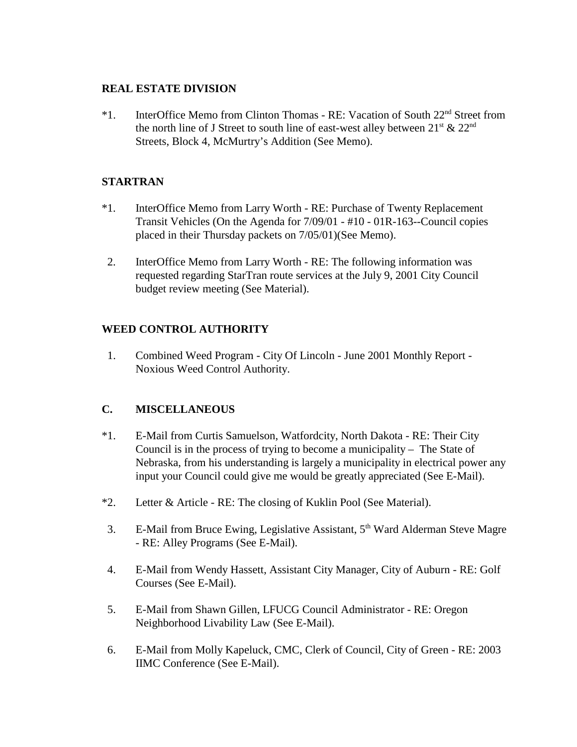## **REAL ESTATE DIVISION**

\*1. InterOffice Memo from Clinton Thomas - RE: Vacation of South 22nd Street from the north line of J Street to south line of east-west alley between  $21<sup>st</sup> \& 22<sup>nd</sup>$ Streets, Block 4, McMurtry's Addition (See Memo).

## **STARTRAN**

- \*1. InterOffice Memo from Larry Worth RE: Purchase of Twenty Replacement Transit Vehicles (On the Agenda for 7/09/01 - #10 - 01R-163--Council copies placed in their Thursday packets on 7/05/01)(See Memo).
- 2. InterOffice Memo from Larry Worth RE: The following information was requested regarding StarTran route services at the July 9, 2001 City Council budget review meeting (See Material).

# **WEED CONTROL AUTHORITY**

 1. Combined Weed Program - City Of Lincoln - June 2001 Monthly Report - Noxious Weed Control Authority.

## **C. MISCELLANEOUS**

- \*1. E-Mail from Curtis Samuelson, Watfordcity, North Dakota RE: Their City Council is in the process of trying to become a municipality – The State of Nebraska, from his understanding is largely a municipality in electrical power any input your Council could give me would be greatly appreciated (See E-Mail).
- \*2. Letter & Article RE: The closing of Kuklin Pool (See Material).
- 3. E-Mail from Bruce Ewing, Legislative Assistant, 5<sup>th</sup> Ward Alderman Steve Magre - RE: Alley Programs (See E-Mail).
- 4. E-Mail from Wendy Hassett, Assistant City Manager, City of Auburn RE: Golf Courses (See E-Mail).
- 5. E-Mail from Shawn Gillen, LFUCG Council Administrator RE: Oregon Neighborhood Livability Law (See E-Mail).
- 6. E-Mail from Molly Kapeluck, CMC, Clerk of Council, City of Green RE: 2003 IIMC Conference (See E-Mail).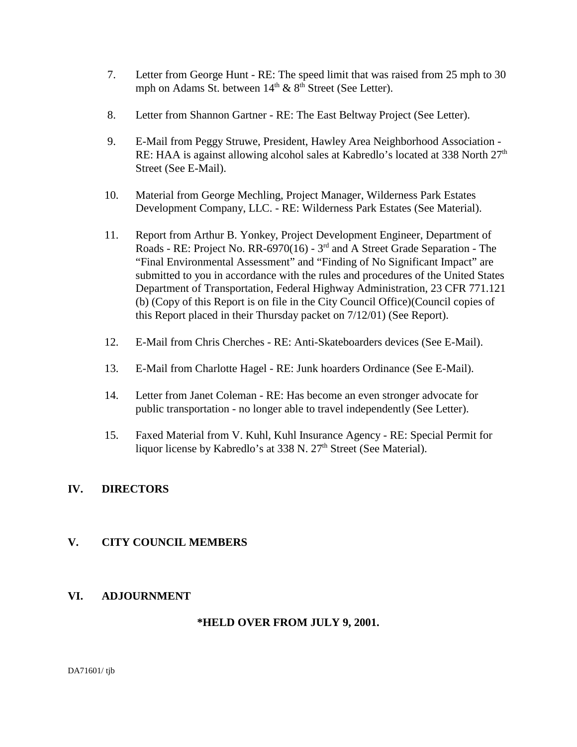- 7. Letter from George Hunt RE: The speed limit that was raised from 25 mph to 30 mph on Adams St. between  $14<sup>th</sup>$  &  $8<sup>th</sup>$  Street (See Letter).
- 8. Letter from Shannon Gartner RE: The East Beltway Project (See Letter).
- 9. E-Mail from Peggy Struwe, President, Hawley Area Neighborhood Association RE: HAA is against allowing alcohol sales at Kabredlo's located at 338 North  $27<sup>th</sup>$ Street (See E-Mail).
- 10. Material from George Mechling, Project Manager, Wilderness Park Estates Development Company, LLC. - RE: Wilderness Park Estates (See Material).
- 11. Report from Arthur B. Yonkey, Project Development Engineer, Department of Roads - RE: Project No. RR-6970(16) - 3rd and A Street Grade Separation - The "Final Environmental Assessment" and "Finding of No Significant Impact" are submitted to you in accordance with the rules and procedures of the United States Department of Transportation, Federal Highway Administration, 23 CFR 771.121 (b) (Copy of this Report is on file in the City Council Office)(Council copies of this Report placed in their Thursday packet on 7/12/01) (See Report).
- 12. E-Mail from Chris Cherches RE: Anti-Skateboarders devices (See E-Mail).
- 13. E-Mail from Charlotte Hagel RE: Junk hoarders Ordinance (See E-Mail).
- 14. Letter from Janet Coleman RE: Has become an even stronger advocate for public transportation - no longer able to travel independently (See Letter).
- 15. Faxed Material from V. Kuhl, Kuhl Insurance Agency RE: Special Permit for liquor license by Kabredlo's at 338 N. 27<sup>th</sup> Street (See Material).

## **IV. DIRECTORS**

## **V. CITY COUNCIL MEMBERS**

## **VI. ADJOURNMENT**

#### **\*HELD OVER FROM JULY 9, 2001.**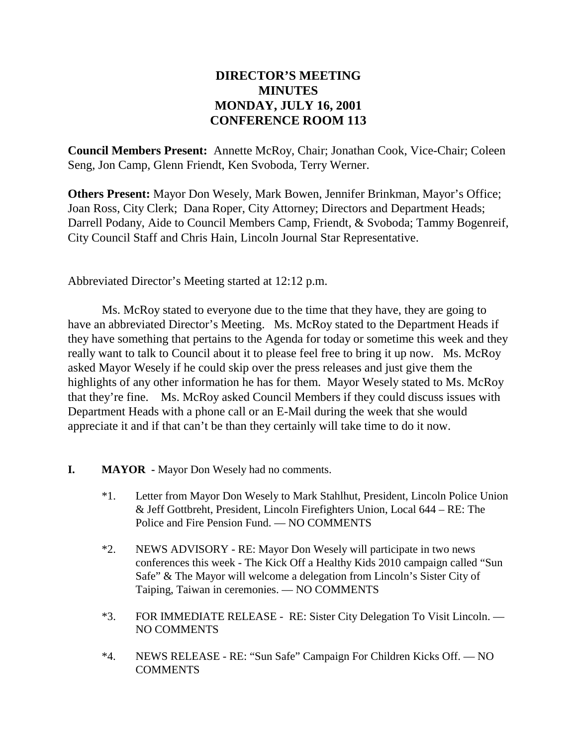# **DIRECTOR'S MEETING MINUTES MONDAY, JULY 16, 2001 CONFERENCE ROOM 113**

**Council Members Present:** Annette McRoy, Chair; Jonathan Cook, Vice-Chair; Coleen Seng, Jon Camp, Glenn Friendt, Ken Svoboda, Terry Werner.

**Others Present:** Mayor Don Wesely, Mark Bowen, Jennifer Brinkman, Mayor's Office; Joan Ross, City Clerk; Dana Roper, City Attorney; Directors and Department Heads; Darrell Podany, Aide to Council Members Camp, Friendt, & Svoboda; Tammy Bogenreif, City Council Staff and Chris Hain, Lincoln Journal Star Representative.

Abbreviated Director's Meeting started at 12:12 p.m.

Ms. McRoy stated to everyone due to the time that they have, they are going to have an abbreviated Director's Meeting. Ms. McRoy stated to the Department Heads if they have something that pertains to the Agenda for today or sometime this week and they really want to talk to Council about it to please feel free to bring it up now. Ms. McRoy asked Mayor Wesely if he could skip over the press releases and just give them the highlights of any other information he has for them. Mayor Wesely stated to Ms. McRoy that they're fine. Ms. McRoy asked Council Members if they could discuss issues with Department Heads with a phone call or an E-Mail during the week that she would appreciate it and if that can't be than they certainly will take time to do it now.

- **I. MAYOR** Mayor Don Wesely had no comments.
	- \*1. Letter from Mayor Don Wesely to Mark Stahlhut, President, Lincoln Police Union & Jeff Gottbreht, President, Lincoln Firefighters Union, Local 644 – RE: The Police and Fire Pension Fund. — NO COMMENTS
	- \*2. NEWS ADVISORY RE: Mayor Don Wesely will participate in two news conferences this week - The Kick Off a Healthy Kids 2010 campaign called "Sun Safe" & The Mayor will welcome a delegation from Lincoln's Sister City of Taiping, Taiwan in ceremonies. — NO COMMENTS
	- \*3. FOR IMMEDIATE RELEASE RE: Sister City Delegation To Visit Lincoln. NO COMMENTS
	- \*4. NEWS RELEASE RE: "Sun Safe" Campaign For Children Kicks Off. NO **COMMENTS**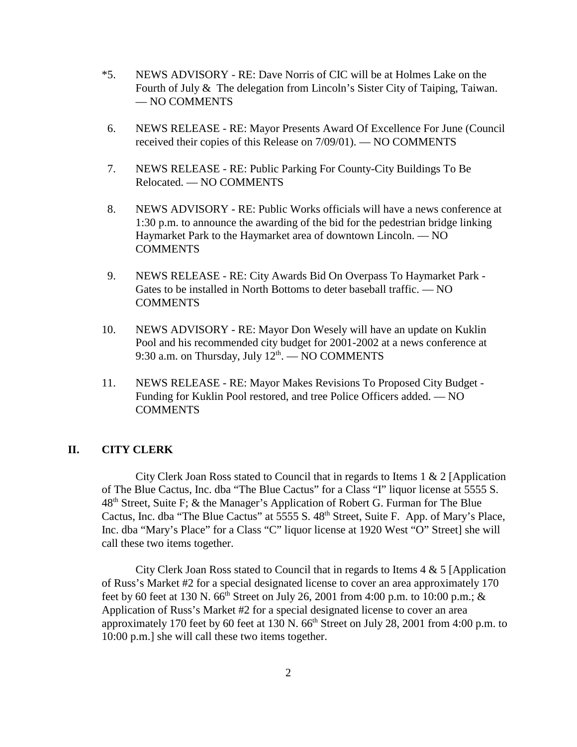- \*5. NEWS ADVISORY RE: Dave Norris of CIC will be at Holmes Lake on the Fourth of July & The delegation from Lincoln's Sister City of Taiping, Taiwan. — NO COMMENTS
- 6. NEWS RELEASE RE: Mayor Presents Award Of Excellence For June (Council received their copies of this Release on 7/09/01). — NO COMMENTS
- 7. NEWS RELEASE RE: Public Parking For County-City Buildings To Be Relocated. — NO COMMENTS
- 8. NEWS ADVISORY RE: Public Works officials will have a news conference at 1:30 p.m. to announce the awarding of the bid for the pedestrian bridge linking Haymarket Park to the Haymarket area of downtown Lincoln. — NO **COMMENTS**
- 9. NEWS RELEASE RE: City Awards Bid On Overpass To Haymarket Park Gates to be installed in North Bottoms to deter baseball traffic. — NO **COMMENTS**
- 10. NEWS ADVISORY RE: Mayor Don Wesely will have an update on Kuklin Pool and his recommended city budget for 2001-2002 at a news conference at 9:30 a.m. on Thursday, July  $12<sup>th</sup>$ .  $-$  NO COMMENTS
- 11. NEWS RELEASE RE: Mayor Makes Revisions To Proposed City Budget Funding for Kuklin Pool restored, and tree Police Officers added. — NO **COMMENTS**

#### **II. CITY CLERK**

City Clerk Joan Ross stated to Council that in regards to Items 1 & 2 [Application of The Blue Cactus, Inc. dba "The Blue Cactus" for a Class "I" liquor license at 5555 S. 48th Street, Suite F; & the Manager's Application of Robert G. Furman for The Blue Cactus, Inc. dba "The Blue Cactus" at 5555 S. 48<sup>th</sup> Street, Suite F. App. of Mary's Place, Inc. dba "Mary's Place" for a Class "C" liquor license at 1920 West "O" Street] she will call these two items together.

City Clerk Joan Ross stated to Council that in regards to Items 4 & 5 [Application of Russ's Market #2 for a special designated license to cover an area approximately 170 feet by 60 feet at 130 N. 66<sup>th</sup> Street on July 26, 2001 from 4:00 p.m. to 10:00 p.m.; & Application of Russ's Market #2 for a special designated license to cover an area approximately 170 feet by 60 feet at 130 N.  $66<sup>th</sup>$  Street on July 28, 2001 from 4:00 p.m. to 10:00 p.m.] she will call these two items together.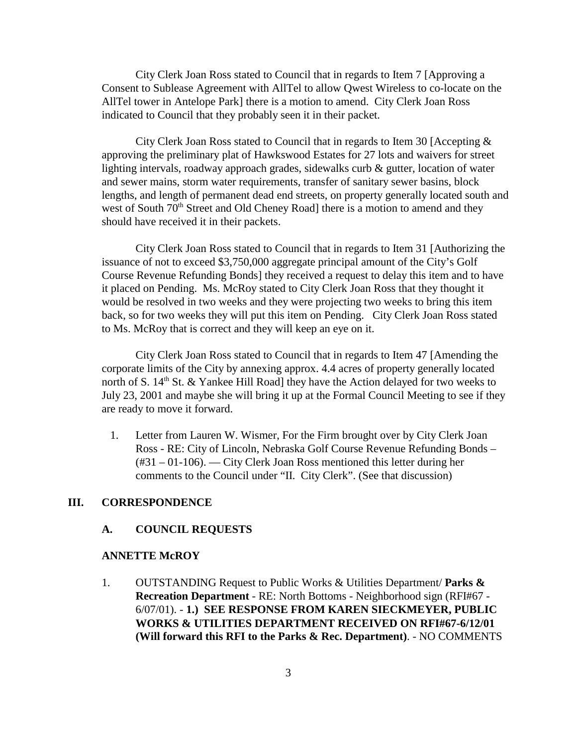City Clerk Joan Ross stated to Council that in regards to Item 7 [Approving a Consent to Sublease Agreement with AllTel to allow Qwest Wireless to co-locate on the AllTel tower in Antelope Park] there is a motion to amend. City Clerk Joan Ross indicated to Council that they probably seen it in their packet.

City Clerk Joan Ross stated to Council that in regards to Item 30 [Accepting  $\&$ approving the preliminary plat of Hawkswood Estates for 27 lots and waivers for street lighting intervals, roadway approach grades, sidewalks curb & gutter, location of water and sewer mains, storm water requirements, transfer of sanitary sewer basins, block lengths, and length of permanent dead end streets, on property generally located south and west of South 70<sup>th</sup> Street and Old Cheney Road] there is a motion to amend and they should have received it in their packets.

City Clerk Joan Ross stated to Council that in regards to Item 31 [Authorizing the issuance of not to exceed \$3,750,000 aggregate principal amount of the City's Golf Course Revenue Refunding Bonds] they received a request to delay this item and to have it placed on Pending. Ms. McRoy stated to City Clerk Joan Ross that they thought it would be resolved in two weeks and they were projecting two weeks to bring this item back, so for two weeks they will put this item on Pending. City Clerk Joan Ross stated to Ms. McRoy that is correct and they will keep an eye on it.

City Clerk Joan Ross stated to Council that in regards to Item 47 [Amending the corporate limits of the City by annexing approx. 4.4 acres of property generally located north of S.  $14<sup>th</sup>$  St. & Yankee Hill Road] they have the Action delayed for two weeks to July 23, 2001 and maybe she will bring it up at the Formal Council Meeting to see if they are ready to move it forward.

 1. Letter from Lauren W. Wismer, For the Firm brought over by City Clerk Joan Ross - RE: City of Lincoln, Nebraska Golf Course Revenue Refunding Bonds – (#31 – 01-106). — City Clerk Joan Ross mentioned this letter during her comments to the Council under "II. City Clerk". (See that discussion)

#### **III. CORRESPONDENCE**

#### **A. COUNCIL REQUESTS**

#### **ANNETTE McROY**

1. OUTSTANDING Request to Public Works & Utilities Department/ **Parks & Recreation Department** - RE: North Bottoms - Neighborhood sign (RFI#67 - 6/07/01). - **1.) SEE RESPONSE FROM KAREN SIECKMEYER, PUBLIC WORKS & UTILITIES DEPARTMENT RECEIVED ON RFI#67-6/12/01 (Will forward this RFI to the Parks & Rec. Department)**. - NO COMMENTS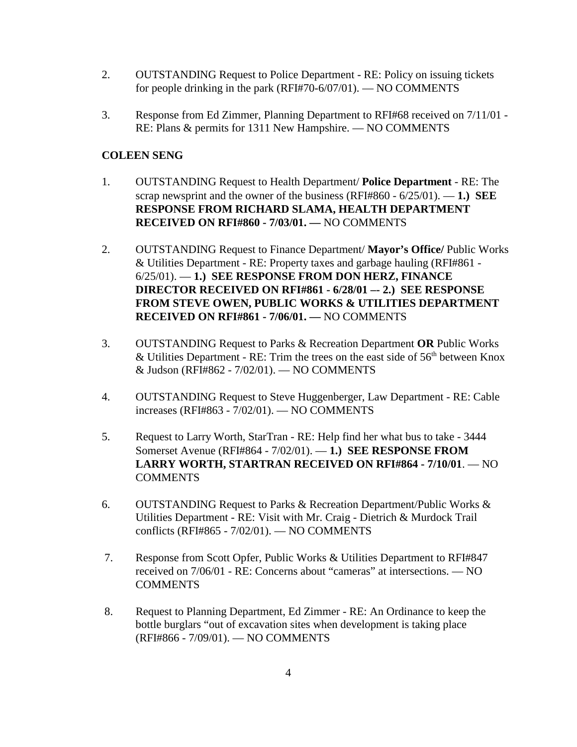- 2. OUTSTANDING Request to Police Department RE: Policy on issuing tickets for people drinking in the park (RFI#70-6/07/01). — NO COMMENTS
- 3. Response from Ed Zimmer, Planning Department to RFI#68 received on 7/11/01 RE: Plans & permits for 1311 New Hampshire. — NO COMMENTS

## **COLEEN SENG**

- 1. OUTSTANDING Request to Health Department/ **Police Department** RE: The scrap newsprint and the owner of the business (RFI#860 - 6/25/01). — **1.) SEE RESPONSE FROM RICHARD SLAMA, HEALTH DEPARTMENT RECEIVED ON RFI#860 - 7/03/01. —** NO COMMENTS
- 2. OUTSTANDING Request to Finance Department/ **Mayor's Office/** Public Works & Utilities Department - RE: Property taxes and garbage hauling (RFI#861 - 6/25/01). — **1.) SEE RESPONSE FROM DON HERZ, FINANCE DIRECTOR RECEIVED ON RFI#861 - 6/28/01 –- 2.) SEE RESPONSE FROM STEVE OWEN, PUBLIC WORKS & UTILITIES DEPARTMENT RECEIVED ON RFI#861 - 7/06/01. —** NO COMMENTS
- 3. OUTSTANDING Request to Parks & Recreation Department **OR** Public Works & Utilities Department - RE: Trim the trees on the east side of  $56<sup>th</sup>$  between Knox & Judson (RFI#862 - 7/02/01). — NO COMMENTS
- 4. OUTSTANDING Request to Steve Huggenberger, Law Department RE: Cable increases (RFI#863 - 7/02/01). — NO COMMENTS
- 5. Request to Larry Worth, StarTran RE: Help find her what bus to take 3444 Somerset Avenue (RFI#864 - 7/02/01). — **1.) SEE RESPONSE FROM LARRY WORTH, STARTRAN RECEIVED ON RFI#864 - 7/10/01**. — NO **COMMENTS**
- 6. OUTSTANDING Request to Parks & Recreation Department/Public Works & Utilities Department - RE: Visit with Mr. Craig - Dietrich & Murdock Trail conflicts (RFI#865 - 7/02/01). — NO COMMENTS
- 7. Response from Scott Opfer, Public Works & Utilities Department to RFI#847 received on 7/06/01 - RE: Concerns about "cameras" at intersections. — NO COMMENTS
- 8. Request to Planning Department, Ed Zimmer RE: An Ordinance to keep the bottle burglars "out of excavation sites when development is taking place (RFI#866 - 7/09/01). — NO COMMENTS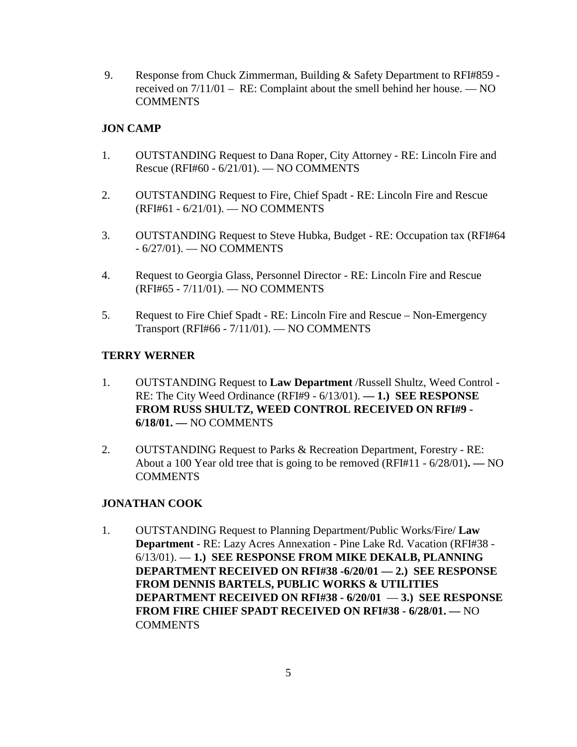9. Response from Chuck Zimmerman, Building & Safety Department to RFI#859 received on 7/11/01 – RE: Complaint about the smell behind her house. — NO **COMMENTS** 

## **JON CAMP**

- 1. OUTSTANDING Request to Dana Roper, City Attorney RE: Lincoln Fire and Rescue (RFI#60 - 6/21/01). — NO COMMENTS
- 2. OUTSTANDING Request to Fire, Chief Spadt RE: Lincoln Fire and Rescue (RFI#61 - 6/21/01). — NO COMMENTS
- 3. OUTSTANDING Request to Steve Hubka, Budget RE: Occupation tax (RFI#64 - 6/27/01). — NO COMMENTS
- 4. Request to Georgia Glass, Personnel Director RE: Lincoln Fire and Rescue (RFI#65 - 7/11/01). — NO COMMENTS
- 5. Request to Fire Chief Spadt RE: Lincoln Fire and Rescue Non-Emergency Transport (RFI#66 - 7/11/01). — NO COMMENTS

#### **TERRY WERNER**

- 1. OUTSTANDING Request to **Law Department** /Russell Shultz, Weed Control RE: The City Weed Ordinance (RFI#9 - 6/13/01). **— 1.) SEE RESPONSE FROM RUSS SHULTZ, WEED CONTROL RECEIVED ON RFI#9 - 6/18/01. —** NO COMMENTS
- 2. OUTSTANDING Request to Parks & Recreation Department, Forestry RE: About a 100 Year old tree that is going to be removed (RFI#11 - 6/28/01)**. —** NO **COMMENTS**

## **JONATHAN COOK**

1. OUTSTANDING Request to Planning Department/Public Works/Fire/ **Law Department** - RE: Lazy Acres Annexation - Pine Lake Rd. Vacation (RFI#38 - 6/13/01). — **1.) SEE RESPONSE FROM MIKE DEKALB, PLANNING DEPARTMENT RECEIVED ON RFI#38 -6/20/01 — 2.) SEE RESPONSE FROM DENNIS BARTELS, PUBLIC WORKS & UTILITIES DEPARTMENT RECEIVED ON RFI#38 - 6/20/01** — **3.) SEE RESPONSE FROM FIRE CHIEF SPADT RECEIVED ON RFI#38 - 6/28/01. —** NO COMMENTS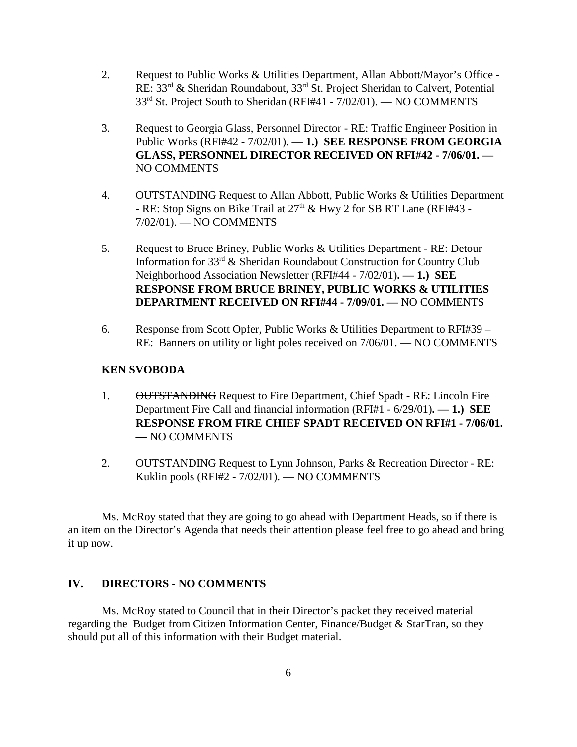- 2. Request to Public Works & Utilities Department, Allan Abbott/Mayor's Office RE: 33rd & Sheridan Roundabout, 33rd St. Project Sheridan to Calvert, Potential 33<sup>rd</sup> St. Project South to Sheridan (RFI#41 - 7/02/01). — NO COMMENTS
- 3. Request to Georgia Glass, Personnel Director RE: Traffic Engineer Position in Public Works (RFI#42 - 7/02/01). — **1.) SEE RESPONSE FROM GEORGIA GLASS, PERSONNEL DIRECTOR RECEIVED ON RFI#42 - 7/06/01. —** NO COMMENTS
- 4. OUTSTANDING Request to Allan Abbott, Public Works & Utilities Department - RE: Stop Signs on Bike Trail at 27<sup>th</sup> & Hwy 2 for SB RT Lane (RFI#43 -7/02/01). — NO COMMENTS
- 5. Request to Bruce Briney, Public Works & Utilities Department RE: Detour Information for 33<sup>rd</sup> & Sheridan Roundabout Construction for Country Club Neighborhood Association Newsletter (RFI#44 - 7/02/01)**. — 1.) SEE RESPONSE FROM BRUCE BRINEY, PUBLIC WORKS & UTILITIES DEPARTMENT RECEIVED ON RFI#44 - 7/09/01. —** NO COMMENTS
- 6. Response from Scott Opfer, Public Works & Utilities Department to  $RFI#39 -$ RE: Banners on utility or light poles received on 7/06/01. — NO COMMENTS

#### **KEN SVOBODA**

- 1. OUTSTANDING Request to Fire Department, Chief Spadt RE: Lincoln Fire Department Fire Call and financial information (RFI#1 - 6/29/01)**. — 1.) SEE RESPONSE FROM FIRE CHIEF SPADT RECEIVED ON RFI#1 - 7/06/01. —** NO COMMENTS
- 2. OUTSTANDING Request to Lynn Johnson, Parks & Recreation Director RE: Kuklin pools (RFI#2 - 7/02/01). — NO COMMENTS

Ms. McRoy stated that they are going to go ahead with Department Heads, so if there is an item on the Director's Agenda that needs their attention please feel free to go ahead and bring it up now.

#### **IV. DIRECTORS** - **NO COMMENTS**

Ms. McRoy stated to Council that in their Director's packet they received material regarding the Budget from Citizen Information Center, Finance/Budget & StarTran, so they should put all of this information with their Budget material.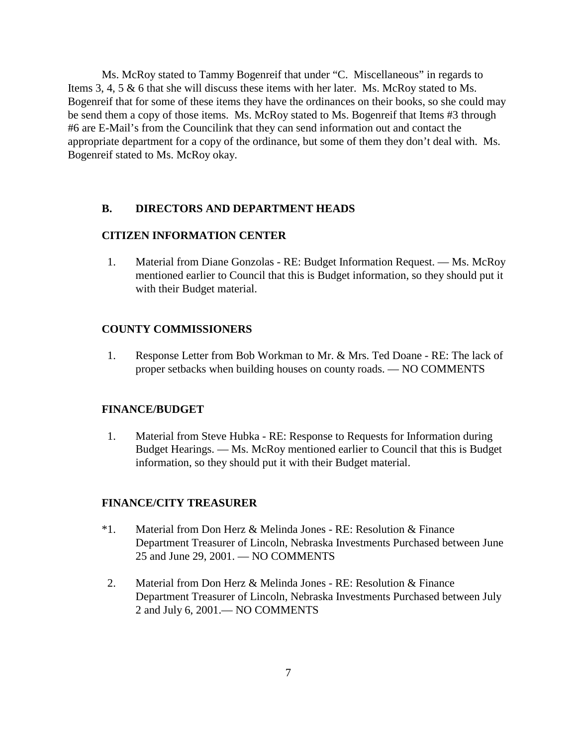Ms. McRoy stated to Tammy Bogenreif that under "C. Miscellaneous" in regards to Items 3, 4, 5 & 6 that she will discuss these items with her later. Ms. McRoy stated to Ms. Bogenreif that for some of these items they have the ordinances on their books, so she could may be send them a copy of those items. Ms. McRoy stated to Ms. Bogenreif that Items #3 through #6 are E-Mail's from the Councilink that they can send information out and contact the appropriate department for a copy of the ordinance, but some of them they don't deal with. Ms. Bogenreif stated to Ms. McRoy okay.

#### **B. DIRECTORS AND DEPARTMENT HEADS**

#### **CITIZEN INFORMATION CENTER**

1. Material from Diane Gonzolas - RE: Budget Information Request. — Ms. McRoy mentioned earlier to Council that this is Budget information, so they should put it with their Budget material.

#### **COUNTY COMMISSIONERS**

1. Response Letter from Bob Workman to Mr. & Mrs. Ted Doane - RE: The lack of proper setbacks when building houses on county roads. — NO COMMENTS

#### **FINANCE/BUDGET**

1. Material from Steve Hubka - RE: Response to Requests for Information during Budget Hearings. — Ms. McRoy mentioned earlier to Council that this is Budget information, so they should put it with their Budget material.

#### **FINANCE/CITY TREASURER**

- \*1. Material from Don Herz & Melinda Jones RE: Resolution & Finance Department Treasurer of Lincoln, Nebraska Investments Purchased between June 25 and June 29, 2001. — NO COMMENTS
- 2. Material from Don Herz & Melinda Jones RE: Resolution & Finance Department Treasurer of Lincoln, Nebraska Investments Purchased between July 2 and July 6, 2001.— NO COMMENTS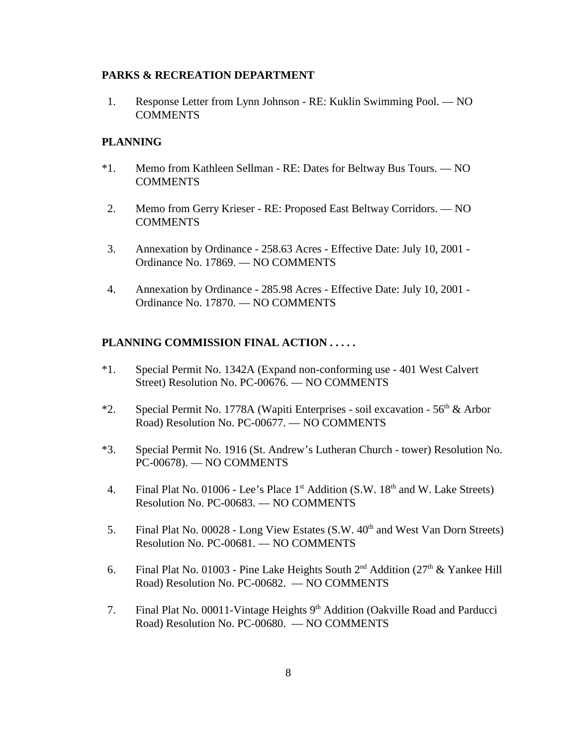#### **PARKS & RECREATION DEPARTMENT**

1. Response Letter from Lynn Johnson - RE: Kuklin Swimming Pool. — NO **COMMENTS** 

#### **PLANNING**

- \*1. Memo from Kathleen Sellman RE: Dates for Beltway Bus Tours. NO **COMMENTS**
- 2. Memo from Gerry Krieser RE: Proposed East Beltway Corridors. NO COMMENTS
- 3. Annexation by Ordinance 258.63 Acres Effective Date: July 10, 2001 Ordinance No. 17869. — NO COMMENTS
- 4. Annexation by Ordinance 285.98 Acres Effective Date: July 10, 2001 Ordinance No. 17870. — NO COMMENTS

#### **PLANNING COMMISSION FINAL ACTION . . . . .**

- \*1. Special Permit No. 1342A (Expand non-conforming use 401 West Calvert Street) Resolution No. PC-00676. — NO COMMENTS
- \*2. Special Permit No. 1778A (Wapiti Enterprises soil excavation 56<sup>th</sup> & Arbor Road) Resolution No. PC-00677. — NO COMMENTS
- \*3. Special Permit No. 1916 (St. Andrew's Lutheran Church tower) Resolution No. PC-00678). — NO COMMENTS
- 4. Final Plat No. 01006 Lee's Place 1<sup>st</sup> Addition (S.W. 18<sup>th</sup> and W. Lake Streets) Resolution No. PC-00683. — NO COMMENTS
- 5. Final Plat No. 00028 Long View Estates (S.W. 40<sup>th</sup> and West Van Dorn Streets) Resolution No. PC-00681. — NO COMMENTS
- 6. Final Plat No. 01003 Pine Lake Heights South  $2^{nd}$  Addition ( $27<sup>th</sup>$  & Yankee Hill Road) Resolution No. PC-00682. — NO COMMENTS
- 7. Final Plat No. 00011-Vintage Heights  $9<sup>th</sup>$  Addition (Oakville Road and Parducci Road) Resolution No. PC-00680. — NO COMMENTS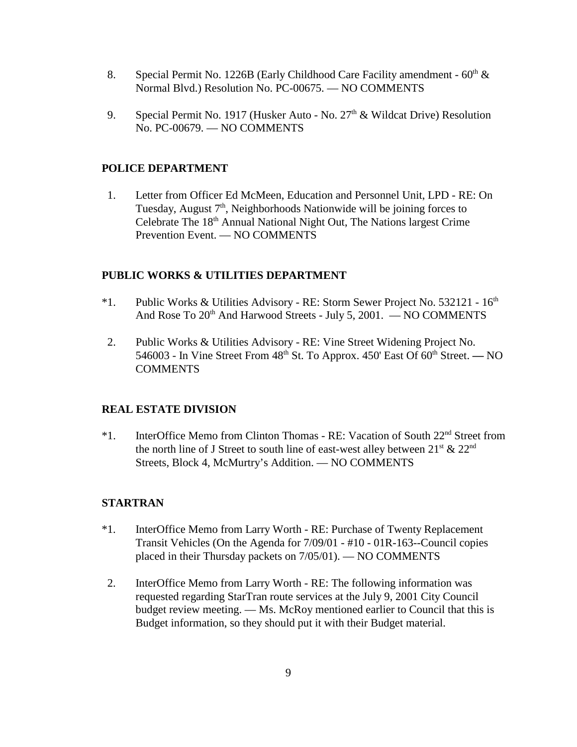- 8. Special Permit No. 1226B (Early Childhood Care Facility amendment  $60<sup>th</sup>$  & Normal Blvd.) Resolution No. PC-00675. — NO COMMENTS
- 9. Special Permit No. 1917 (Husker Auto No.  $27<sup>th</sup>$  & Wildcat Drive) Resolution No. PC-00679. — NO COMMENTS

#### **POLICE DEPARTMENT**

1. Letter from Officer Ed McMeen, Education and Personnel Unit, LPD - RE: On Tuesday, August  $7<sup>th</sup>$ , Neighborhoods Nationwide will be joining forces to Celebrate The 18<sup>th</sup> Annual National Night Out, The Nations largest Crime Prevention Event. — NO COMMENTS

#### **PUBLIC WORKS & UTILITIES DEPARTMENT**

- \*1. Public Works & Utilities Advisory RE: Storm Sewer Project No. 532121 16th And Rose To  $20<sup>th</sup>$  And Harwood Streets - July 5, 2001. — NO COMMENTS
- 2. Public Works & Utilities Advisory RE: Vine Street Widening Project No. 546003 - In Vine Street From 48th St. To Approx. 450' East Of 60th Street. **—** NO COMMENTS

#### **REAL ESTATE DIVISION**

\*1. InterOffice Memo from Clinton Thomas - RE: Vacation of South 22nd Street from the north line of J Street to south line of east-west alley between  $21^{st} \& 22^{nd}$ Streets, Block 4, McMurtry's Addition. — NO COMMENTS

#### **STARTRAN**

- \*1. InterOffice Memo from Larry Worth RE: Purchase of Twenty Replacement Transit Vehicles (On the Agenda for 7/09/01 - #10 - 01R-163--Council copies placed in their Thursday packets on 7/05/01). — NO COMMENTS
- 2. InterOffice Memo from Larry Worth RE: The following information was requested regarding StarTran route services at the July 9, 2001 City Council budget review meeting. — Ms. McRoy mentioned earlier to Council that this is Budget information, so they should put it with their Budget material.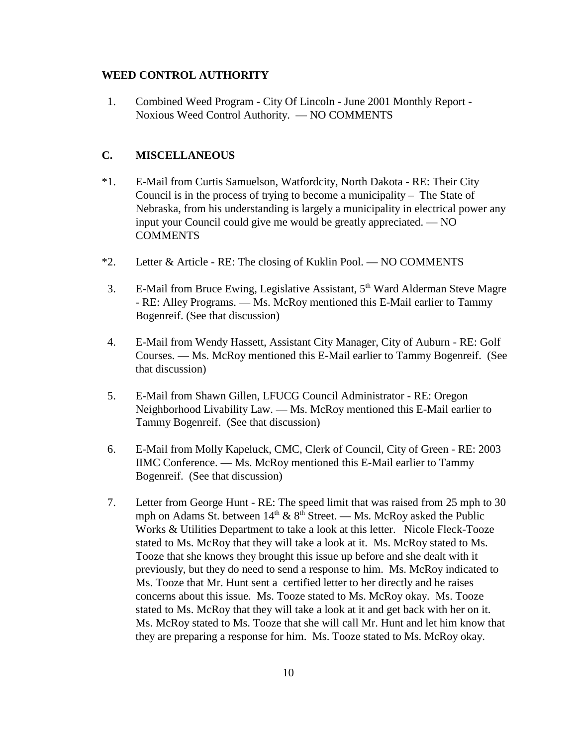#### **WEED CONTROL AUTHORITY**

 1. Combined Weed Program - City Of Lincoln - June 2001 Monthly Report - Noxious Weed Control Authority. — NO COMMENTS

### **C. MISCELLANEOUS**

- \*1. E-Mail from Curtis Samuelson, Watfordcity, North Dakota RE: Their City Council is in the process of trying to become a municipality – The State of Nebraska, from his understanding is largely a municipality in electrical power any input your Council could give me would be greatly appreciated. — NO **COMMENTS**
- \*2. Letter & Article RE: The closing of Kuklin Pool. NO COMMENTS
- 3. E-Mail from Bruce Ewing, Legislative Assistant, 5<sup>th</sup> Ward Alderman Steve Magre - RE: Alley Programs. — Ms. McRoy mentioned this E-Mail earlier to Tammy Bogenreif. (See that discussion)
- 4. E-Mail from Wendy Hassett, Assistant City Manager, City of Auburn RE: Golf Courses. — Ms. McRoy mentioned this E-Mail earlier to Tammy Bogenreif. (See that discussion)
- 5. E-Mail from Shawn Gillen, LFUCG Council Administrator RE: Oregon Neighborhood Livability Law. — Ms. McRoy mentioned this E-Mail earlier to Tammy Bogenreif. (See that discussion)
- 6. E-Mail from Molly Kapeluck, CMC, Clerk of Council, City of Green RE: 2003 IIMC Conference. — Ms. McRoy mentioned this E-Mail earlier to Tammy Bogenreif. (See that discussion)
- 7. Letter from George Hunt RE: The speed limit that was raised from 25 mph to 30 mph on Adams St. between  $14<sup>th</sup> \& 8<sup>th</sup>$  Street. — Ms. McRoy asked the Public Works & Utilities Department to take a look at this letter. Nicole Fleck-Tooze stated to Ms. McRoy that they will take a look at it. Ms. McRoy stated to Ms. Tooze that she knows they brought this issue up before and she dealt with it previously, but they do need to send a response to him. Ms. McRoy indicated to Ms. Tooze that Mr. Hunt sent a certified letter to her directly and he raises concerns about this issue. Ms. Tooze stated to Ms. McRoy okay. Ms. Tooze stated to Ms. McRoy that they will take a look at it and get back with her on it. Ms. McRoy stated to Ms. Tooze that she will call Mr. Hunt and let him know that they are preparing a response for him. Ms. Tooze stated to Ms. McRoy okay.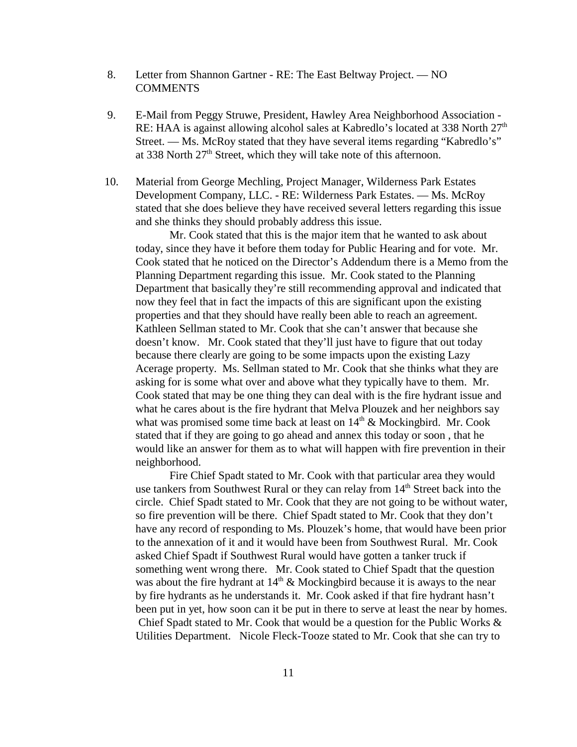- 8. Letter from Shannon Gartner RE: The East Beltway Project. NO **COMMENTS**
- 9. E-Mail from Peggy Struwe, President, Hawley Area Neighborhood Association RE: HAA is against allowing alcohol sales at Kabredlo's located at 338 North  $27<sup>th</sup>$ Street. — Ms. McRoy stated that they have several items regarding "Kabredlo's" at 338 North  $27<sup>th</sup>$  Street, which they will take note of this afternoon.
- 10. Material from George Mechling, Project Manager, Wilderness Park Estates Development Company, LLC. - RE: Wilderness Park Estates. — Ms. McRoy stated that she does believe they have received several letters regarding this issue and she thinks they should probably address this issue.

Mr. Cook stated that this is the major item that he wanted to ask about today, since they have it before them today for Public Hearing and for vote. Mr. Cook stated that he noticed on the Director's Addendum there is a Memo from the Planning Department regarding this issue. Mr. Cook stated to the Planning Department that basically they're still recommending approval and indicated that now they feel that in fact the impacts of this are significant upon the existing properties and that they should have really been able to reach an agreement. Kathleen Sellman stated to Mr. Cook that she can't answer that because she doesn't know. Mr. Cook stated that they'll just have to figure that out today because there clearly are going to be some impacts upon the existing Lazy Acerage property. Ms. Sellman stated to Mr. Cook that she thinks what they are asking for is some what over and above what they typically have to them. Mr. Cook stated that may be one thing they can deal with is the fire hydrant issue and what he cares about is the fire hydrant that Melva Plouzek and her neighbors say what was promised some time back at least on  $14<sup>th</sup>$  & Mockingbird. Mr. Cook stated that if they are going to go ahead and annex this today or soon , that he would like an answer for them as to what will happen with fire prevention in their neighborhood.

Fire Chief Spadt stated to Mr. Cook with that particular area they would use tankers from Southwest Rural or they can relay from 14<sup>th</sup> Street back into the circle. Chief Spadt stated to Mr. Cook that they are not going to be without water, so fire prevention will be there. Chief Spadt stated to Mr. Cook that they don't have any record of responding to Ms. Plouzek's home, that would have been prior to the annexation of it and it would have been from Southwest Rural. Mr. Cook asked Chief Spadt if Southwest Rural would have gotten a tanker truck if something went wrong there. Mr. Cook stated to Chief Spadt that the question was about the fire hydrant at  $14<sup>th</sup>$  & Mockingbird because it is aways to the near by fire hydrants as he understands it. Mr. Cook asked if that fire hydrant hasn't been put in yet, how soon can it be put in there to serve at least the near by homes. Chief Spadt stated to Mr. Cook that would be a question for the Public Works & Utilities Department. Nicole Fleck-Tooze stated to Mr. Cook that she can try to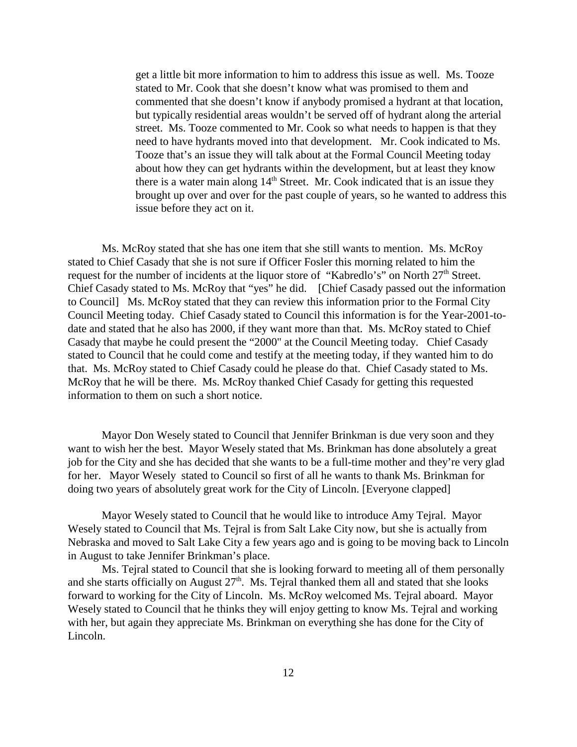get a little bit more information to him to address this issue as well. Ms. Tooze stated to Mr. Cook that she doesn't know what was promised to them and commented that she doesn't know if anybody promised a hydrant at that location, but typically residential areas wouldn't be served off of hydrant along the arterial street. Ms. Tooze commented to Mr. Cook so what needs to happen is that they need to have hydrants moved into that development. Mr. Cook indicated to Ms. Tooze that's an issue they will talk about at the Formal Council Meeting today about how they can get hydrants within the development, but at least they know there is a water main along  $14<sup>th</sup>$  Street. Mr. Cook indicated that is an issue they brought up over and over for the past couple of years, so he wanted to address this issue before they act on it.

Ms. McRoy stated that she has one item that she still wants to mention. Ms. McRoy stated to Chief Casady that she is not sure if Officer Fosler this morning related to him the request for the number of incidents at the liquor store of "Kabredlo's" on North 27<sup>th</sup> Street. Chief Casady stated to Ms. McRoy that "yes" he did. [Chief Casady passed out the information to Council] Ms. McRoy stated that they can review this information prior to the Formal City Council Meeting today. Chief Casady stated to Council this information is for the Year-2001-todate and stated that he also has 2000, if they want more than that. Ms. McRoy stated to Chief Casady that maybe he could present the "2000" at the Council Meeting today. Chief Casady stated to Council that he could come and testify at the meeting today, if they wanted him to do that. Ms. McRoy stated to Chief Casady could he please do that. Chief Casady stated to Ms. McRoy that he will be there. Ms. McRoy thanked Chief Casady for getting this requested information to them on such a short notice.

Mayor Don Wesely stated to Council that Jennifer Brinkman is due very soon and they want to wish her the best. Mayor Wesely stated that Ms. Brinkman has done absolutely a great job for the City and she has decided that she wants to be a full-time mother and they're very glad for her. Mayor Wesely stated to Council so first of all he wants to thank Ms. Brinkman for doing two years of absolutely great work for the City of Lincoln. [Everyone clapped]

Mayor Wesely stated to Council that he would like to introduce Amy Tejral. Mayor Wesely stated to Council that Ms. Tejral is from Salt Lake City now, but she is actually from Nebraska and moved to Salt Lake City a few years ago and is going to be moving back to Lincoln in August to take Jennifer Brinkman's place.

Ms. Tejral stated to Council that she is looking forward to meeting all of them personally and she starts officially on August  $27<sup>th</sup>$ . Ms. Tejral thanked them all and stated that she looks forward to working for the City of Lincoln. Ms. McRoy welcomed Ms. Tejral aboard. Mayor Wesely stated to Council that he thinks they will enjoy getting to know Ms. Tejral and working with her, but again they appreciate Ms. Brinkman on everything she has done for the City of Lincoln.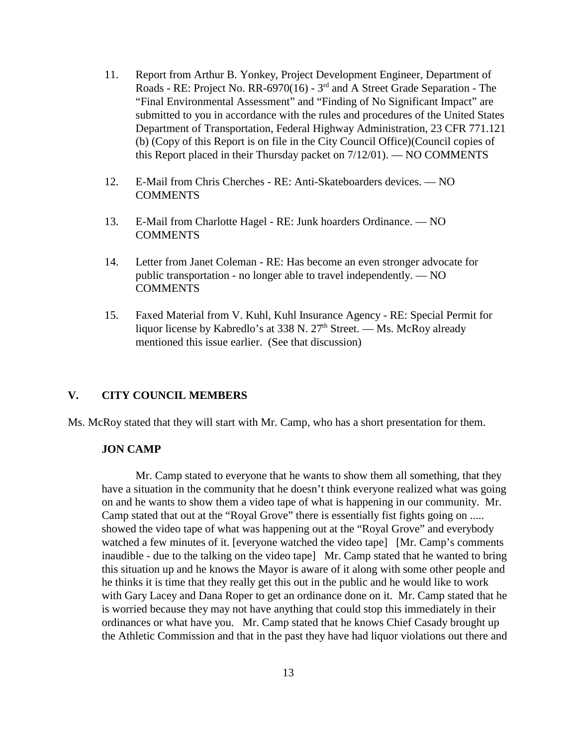- 11. Report from Arthur B. Yonkey, Project Development Engineer, Department of Roads - RE: Project No. RR-6970(16) - 3rd and A Street Grade Separation - The "Final Environmental Assessment" and "Finding of No Significant Impact" are submitted to you in accordance with the rules and procedures of the United States Department of Transportation, Federal Highway Administration, 23 CFR 771.121 (b) (Copy of this Report is on file in the City Council Office)(Council copies of this Report placed in their Thursday packet on 7/12/01). — NO COMMENTS
- 12. E-Mail from Chris Cherches RE: Anti-Skateboarders devices. NO **COMMENTS**
- 13. E-Mail from Charlotte Hagel RE: Junk hoarders Ordinance. NO COMMENTS
- 14. Letter from Janet Coleman RE: Has become an even stronger advocate for public transportation - no longer able to travel independently. — NO **COMMENTS**
- 15. Faxed Material from V. Kuhl, Kuhl Insurance Agency RE: Special Permit for liquor license by Kabredlo's at 338 N.  $27<sup>th</sup>$  Street. — Ms. McRoy already mentioned this issue earlier. (See that discussion)

#### **V. CITY COUNCIL MEMBERS**

Ms. McRoy stated that they will start with Mr. Camp, who has a short presentation for them.

#### **JON CAMP**

Mr. Camp stated to everyone that he wants to show them all something, that they have a situation in the community that he doesn't think everyone realized what was going on and he wants to show them a video tape of what is happening in our community. Mr. Camp stated that out at the "Royal Grove" there is essentially fist fights going on ..... showed the video tape of what was happening out at the "Royal Grove" and everybody watched a few minutes of it. [everyone watched the video tape] [Mr. Camp's comments inaudible - due to the talking on the video tape] Mr. Camp stated that he wanted to bring this situation up and he knows the Mayor is aware of it along with some other people and he thinks it is time that they really get this out in the public and he would like to work with Gary Lacey and Dana Roper to get an ordinance done on it. Mr. Camp stated that he is worried because they may not have anything that could stop this immediately in their ordinances or what have you. Mr. Camp stated that he knows Chief Casady brought up the Athletic Commission and that in the past they have had liquor violations out there and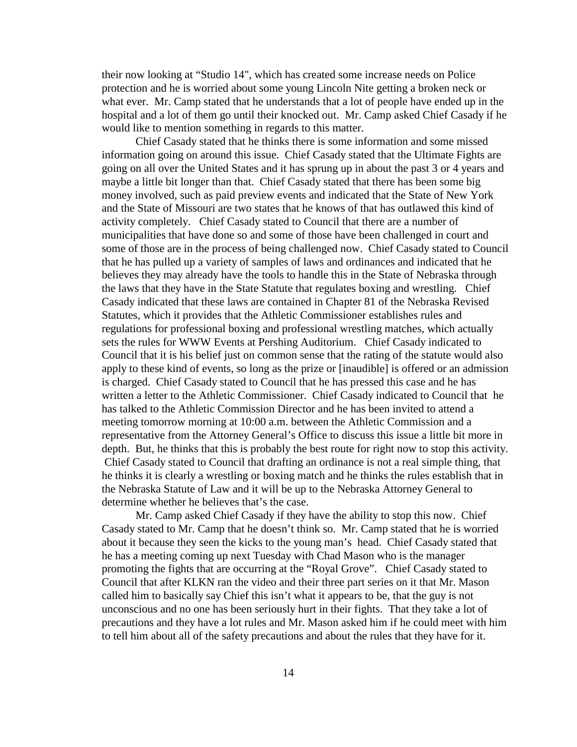their now looking at "Studio 14", which has created some increase needs on Police protection and he is worried about some young Lincoln Nite getting a broken neck or what ever. Mr. Camp stated that he understands that a lot of people have ended up in the hospital and a lot of them go until their knocked out. Mr. Camp asked Chief Casady if he would like to mention something in regards to this matter.

Chief Casady stated that he thinks there is some information and some missed information going on around this issue. Chief Casady stated that the Ultimate Fights are going on all over the United States and it has sprung up in about the past 3 or 4 years and maybe a little bit longer than that. Chief Casady stated that there has been some big money involved, such as paid preview events and indicated that the State of New York and the State of Missouri are two states that he knows of that has outlawed this kind of activity completely. Chief Casady stated to Council that there are a number of municipalities that have done so and some of those have been challenged in court and some of those are in the process of being challenged now. Chief Casady stated to Council that he has pulled up a variety of samples of laws and ordinances and indicated that he believes they may already have the tools to handle this in the State of Nebraska through the laws that they have in the State Statute that regulates boxing and wrestling. Chief Casady indicated that these laws are contained in Chapter 81 of the Nebraska Revised Statutes, which it provides that the Athletic Commissioner establishes rules and regulations for professional boxing and professional wrestling matches, which actually sets the rules for WWW Events at Pershing Auditorium. Chief Casady indicated to Council that it is his belief just on common sense that the rating of the statute would also apply to these kind of events, so long as the prize or [inaudible] is offered or an admission is charged. Chief Casady stated to Council that he has pressed this case and he has written a letter to the Athletic Commissioner. Chief Casady indicated to Council that he has talked to the Athletic Commission Director and he has been invited to attend a meeting tomorrow morning at 10:00 a.m. between the Athletic Commission and a representative from the Attorney General's Office to discuss this issue a little bit more in depth. But, he thinks that this is probably the best route for right now to stop this activity. Chief Casady stated to Council that drafting an ordinance is not a real simple thing, that he thinks it is clearly a wrestling or boxing match and he thinks the rules establish that in the Nebraska Statute of Law and it will be up to the Nebraska Attorney General to determine whether he believes that's the case.

Mr. Camp asked Chief Casady if they have the ability to stop this now. Chief Casady stated to Mr. Camp that he doesn't think so. Mr. Camp stated that he is worried about it because they seen the kicks to the young man's head. Chief Casady stated that he has a meeting coming up next Tuesday with Chad Mason who is the manager promoting the fights that are occurring at the "Royal Grove". Chief Casady stated to Council that after KLKN ran the video and their three part series on it that Mr. Mason called him to basically say Chief this isn't what it appears to be, that the guy is not unconscious and no one has been seriously hurt in their fights. That they take a lot of precautions and they have a lot rules and Mr. Mason asked him if he could meet with him to tell him about all of the safety precautions and about the rules that they have for it.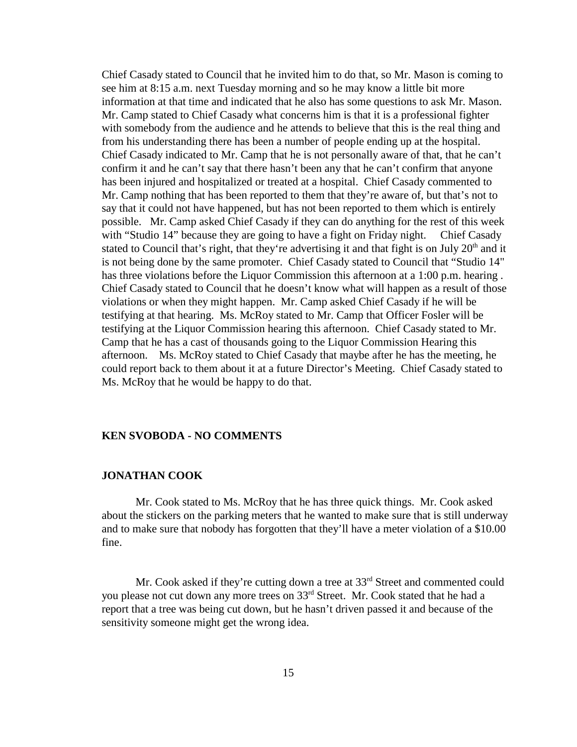Chief Casady stated to Council that he invited him to do that, so Mr. Mason is coming to see him at 8:15 a.m. next Tuesday morning and so he may know a little bit more information at that time and indicated that he also has some questions to ask Mr. Mason. Mr. Camp stated to Chief Casady what concerns him is that it is a professional fighter with somebody from the audience and he attends to believe that this is the real thing and from his understanding there has been a number of people ending up at the hospital. Chief Casady indicated to Mr. Camp that he is not personally aware of that, that he can't confirm it and he can't say that there hasn't been any that he can't confirm that anyone has been injured and hospitalized or treated at a hospital. Chief Casady commented to Mr. Camp nothing that has been reported to them that they're aware of, but that's not to say that it could not have happened, but has not been reported to them which is entirely possible. Mr. Camp asked Chief Casady if they can do anything for the rest of this week with "Studio 14" because they are going to have a fight on Friday night. Chief Casady stated to Council that's right, that they're advertising it and that fight is on July  $20<sup>th</sup>$  and it is not being done by the same promoter. Chief Casady stated to Council that "Studio 14" has three violations before the Liquor Commission this afternoon at a 1:00 p.m. hearing . Chief Casady stated to Council that he doesn't know what will happen as a result of those violations or when they might happen. Mr. Camp asked Chief Casady if he will be testifying at that hearing. Ms. McRoy stated to Mr. Camp that Officer Fosler will be testifying at the Liquor Commission hearing this afternoon. Chief Casady stated to Mr. Camp that he has a cast of thousands going to the Liquor Commission Hearing this afternoon. Ms. McRoy stated to Chief Casady that maybe after he has the meeting, he could report back to them about it at a future Director's Meeting. Chief Casady stated to Ms. McRoy that he would be happy to do that.

#### **KEN SVOBODA - NO COMMENTS**

#### **JONATHAN COOK**

Mr. Cook stated to Ms. McRoy that he has three quick things. Mr. Cook asked about the stickers on the parking meters that he wanted to make sure that is still underway and to make sure that nobody has forgotten that they'll have a meter violation of a \$10.00 fine.

Mr. Cook asked if they're cutting down a tree at  $33<sup>rd</sup>$  Street and commented could you please not cut down any more trees on 33rd Street. Mr. Cook stated that he had a report that a tree was being cut down, but he hasn't driven passed it and because of the sensitivity someone might get the wrong idea.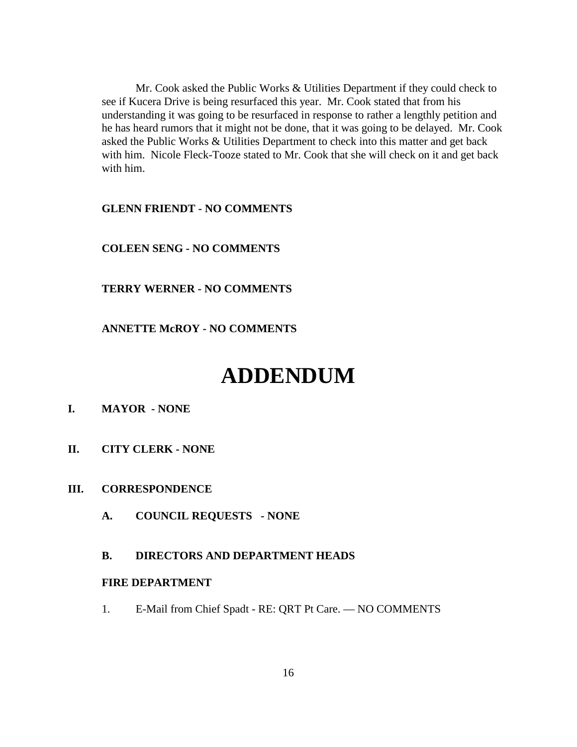Mr. Cook asked the Public Works & Utilities Department if they could check to see if Kucera Drive is being resurfaced this year. Mr. Cook stated that from his understanding it was going to be resurfaced in response to rather a lengthly petition and he has heard rumors that it might not be done, that it was going to be delayed. Mr. Cook asked the Public Works & Utilities Department to check into this matter and get back with him. Nicole Fleck-Tooze stated to Mr. Cook that she will check on it and get back with him.

#### **GLENN FRIENDT - NO COMMENTS**

#### **COLEEN SENG - NO COMMENTS**

#### **TERRY WERNER - NO COMMENTS**

#### **ANNETTE McROY - NO COMMENTS**

# **ADDENDUM**

## **I. MAYOR - NONE**

**II. CITY CLERK - NONE**

#### **III. CORRESPONDENCE**

**A. COUNCIL REQUESTS - NONE**

#### **B. DIRECTORS AND DEPARTMENT HEADS**

#### **FIRE DEPARTMENT**

1. E-Mail from Chief Spadt - RE: QRT Pt Care. — NO COMMENTS